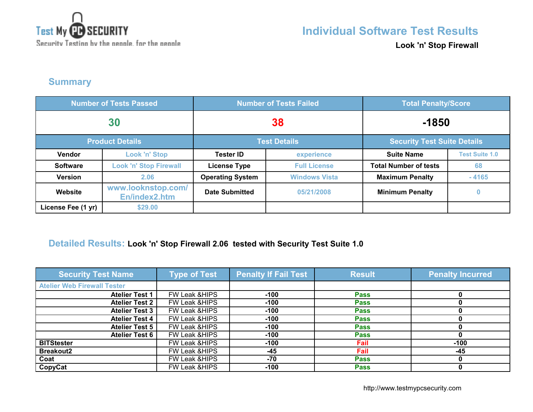

**Look 'n' Stop Firewall**

## **Summary**

| <b>Number of Tests Passed</b> |                                     | <b>Number of Tests Failed</b> |                      | <b>Total Penalty/Score</b>         |                       |
|-------------------------------|-------------------------------------|-------------------------------|----------------------|------------------------------------|-----------------------|
| 30                            |                                     | 38                            |                      | $-1850$                            |                       |
| <b>Product Details</b>        |                                     | <b>Test Details</b>           |                      | <b>Security Test Suite Details</b> |                       |
| <b>Vendor</b>                 | <b>Look 'n' Stop</b>                | <b>Tester ID</b>              | experience           | <b>Suite Name</b>                  | <b>Test Suite 1.0</b> |
| <b>Software</b>               | <b>Look 'n' Stop Firewall</b>       | <b>License Type</b>           | <b>Full License</b>  | <b>Total Number of tests</b>       | 68                    |
| <b>Version</b>                | 2.06                                | <b>Operating System</b>       | <b>Windows Vista</b> | <b>Maximum Penalty</b>             | $-4165$               |
| Website                       | www.looknstop.com/<br>En/index2.htm | <b>Date Submitted</b>         | 05/21/2008           | <b>Minimum Penalty</b>             | $\bf{0}$              |
| License Fee (1 yr)            | \$29.00                             |                               |                      |                                    |                       |

## **Detailed Results: Look 'n' Stop Firewall 2.06 tested with Security Test Suite 1.0**

| <b>Security Test Name</b>          | <b>Type of Test</b>      | <b>Penalty If Fail Test</b> | <b>Result</b> | <b>Penalty Incurred</b> |
|------------------------------------|--------------------------|-----------------------------|---------------|-------------------------|
| <b>Atelier Web Firewall Tester</b> |                          |                             |               |                         |
| <b>Atelier Test 1</b>              | <b>FW Leak &amp;HIPS</b> | $-100$                      | <b>Pass</b>   |                         |
| <b>Atelier Test 2</b>              | <b>FW Leak &amp;HIPS</b> | $-100$                      | <b>Pass</b>   |                         |
| <b>Atelier Test 3</b>              | FW Leak & HIPS           | $-100$                      | <b>Pass</b>   |                         |
| <b>Atelier Test 4</b>              | FW Leak & HIPS           | $-100$                      | <b>Pass</b>   |                         |
| <b>Atelier Test 5</b>              | FW Leak & HIPS           | $-100$                      | <b>Pass</b>   |                         |
| <b>Atelier Test 6</b>              | FW Leak & HIPS           | $-100$                      | <b>Pass</b>   |                         |
| <b>BITStester</b>                  | <b>FW Leak &amp;HIPS</b> | $-100$                      | Fail          | $-100$                  |
| <b>Breakout2</b>                   | FW Leak & HIPS           | $-45$                       | Fail          | $-45$                   |
| Coat                               | <b>FW Leak &amp;HIPS</b> | -70                         | <b>Pass</b>   |                         |
| CopyCat                            | <b>FW Leak &amp;HIPS</b> | $-100$                      | <b>Pass</b>   |                         |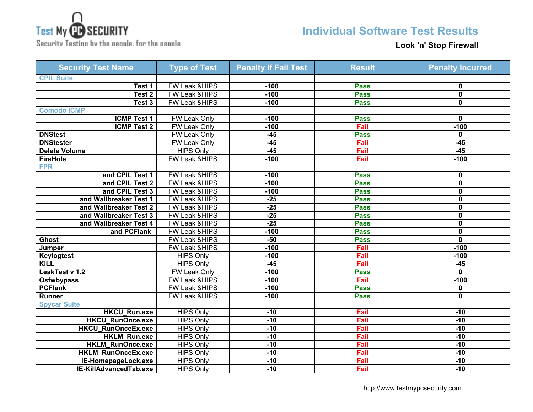

Security Testing by the neagle, for the neagle

## **Individual Software Test Results**

**Look 'n' Stop Firewall**

| <b>Security Test Name</b> | <b>Type of Test</b>      | <b>Penalty If Fail Test</b> | <b>Result</b> | <b>Penalty Incurred</b> |
|---------------------------|--------------------------|-----------------------------|---------------|-------------------------|
| <b>CPIL Suite</b>         |                          |                             |               |                         |
| Test 1                    | FW Leak & HIPS           | $-100$                      | <b>Pass</b>   | 0                       |
| Test <sub>2</sub>         | FW Leak &HIPS            | $-100$                      | <b>Pass</b>   | $\mathbf 0$             |
| Test 3                    | FW Leak & HIPS           | $-100$                      | <b>Pass</b>   | $\mathbf 0$             |
| <b>Comodo ICMP</b>        |                          |                             |               |                         |
| <b>ICMP Test 1</b>        | <b>FW Leak Only</b>      | $-100$                      | <b>Pass</b>   | 0                       |
| <b>ICMP Test 2</b>        | <b>FW Leak Only</b>      | $-100$                      | Fail          | $-100$                  |
| <b>DNStest</b>            | FW Leak Only             | $-45$                       | <b>Pass</b>   | $\mathbf{0}$            |
| <b>DNStester</b>          | <b>FW Leak Only</b>      | $-45$                       | Fail          | $-45$                   |
| <b>Delete Volume</b>      | <b>HIPS Only</b>         | $-45$                       | Fail          | $-45$                   |
| <b>FireHole</b>           | <b>FW Leak &amp;HIPS</b> | $-100$                      | Fail          | $-100$                  |
| <b>FPR</b>                |                          |                             |               |                         |
| and CPIL Test 1           | <b>FW Leak &amp;HIPS</b> | $-100$                      | <b>Pass</b>   | 0                       |
| and CPIL Test 2           | FW Leak &HIPS            | $-100$                      | <b>Pass</b>   | $\mathbf 0$             |
| and CPIL Test 3           | <b>FW Leak &amp;HIPS</b> | $-100$                      | <b>Pass</b>   | 0                       |
| and Wallbreaker Test 1    | FW Leak &HIPS            | $-25$                       | <b>Pass</b>   | 0                       |
| and Wallbreaker Test 2    | FW Leak &HIPS            | $-25$                       | <b>Pass</b>   | $\mathbf 0$             |
| and Wallbreaker Test 3    | FW Leak &HIPS            | $-25$                       | <b>Pass</b>   | $\mathbf 0$             |
| and Wallbreaker Test 4    | FW Leak &HIPS            | $-25$                       | <b>Pass</b>   | 0                       |
| and PCFlank               | FW Leak &HIPS            | $-100$                      | <b>Pass</b>   | $\overline{\mathbf{0}}$ |
| <b>Ghost</b>              | FW Leak & HIPS           | $-50$                       | <b>Pass</b>   | $\overline{\mathbf{0}}$ |
| Jumper                    | FW Leak & HIPS           | $-100$                      | Fail          | $-100$                  |
| Keylogtest                | <b>HIPS Only</b>         | $-100$                      | Fail          | $-100$                  |
| KiLL                      | <b>HIPS Only</b>         | $-45$                       | Fail          | $-45$                   |
| LeakTest v 1.2            | FW Leak Only             | $-100$                      | <b>Pass</b>   | $\mathbf 0$             |
| <b>Osfwbypass</b>         | FW Leak &HIPS            | $-100$                      | Fail          | $-100$                  |
| <b>PCFlank</b>            | <b>FW Leak &amp;HIPS</b> | $-100$                      | <b>Pass</b>   | 0                       |
| <b>Runner</b>             | FW Leak &HIPS            | $-100$                      | <b>Pass</b>   | $\mathbf 0$             |
| <b>Spycar Suite</b>       |                          |                             |               |                         |
| <b>HKCU_Run.exe</b>       | <b>HIPS Only</b>         | $-10$                       | Fail          | $-10$                   |
| <b>HKCU RunOnce.exe</b>   | <b>HIPS Only</b>         | $-10$                       | Fail          | $-10$                   |
| HKCU_RunOnceEx.exe        | <b>HIPS Only</b>         | $-10$                       | Fail          | $-10$                   |
| HKLM_Run.exe              | <b>HIPS Only</b>         | $-10$                       | Fail          | $-10$                   |
| <b>HKLM RunOnce.exe</b>   | <b>HIPS Only</b>         | $-10$                       | Fail          | $-10$                   |
| HKLM_RunOnceEx.exe        | <b>HIPS Only</b>         | $-10$                       | Fail          | $-10$                   |
| IE-HomepageLock.exe       | <b>HIPS Only</b>         | $-10$                       | Fail          | $-10$                   |
| IE-KillAdvancedTab.exe    | <b>HIPS Only</b>         | $-10$                       | Fail          | $-10$                   |